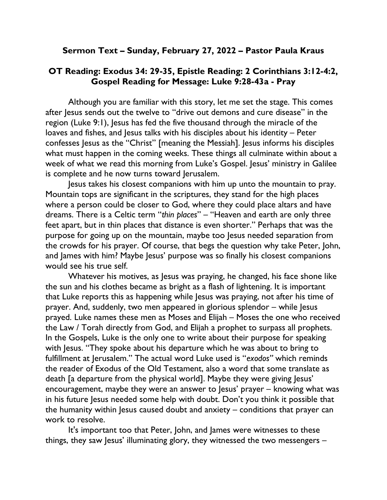## Sermon Text – Sunday, February 27, 2022 – Pastor Paula Kraus

## OT Reading: Exodus 34: 29-35, Epistle Reading: 2 Corinthians 3:12-4:2, Gospel Reading for Message: Luke 9:28-43a - Pray

Although you are familiar with this story, let me set the stage. This comes after Jesus sends out the twelve to "drive out demons and cure disease" in the region (Luke 9:1), Jesus has fed the five thousand through the miracle of the loaves and fishes, and Jesus talks with his disciples about his identity – Peter confesses Jesus as the "Christ" [meaning the Messiah]. Jesus informs his disciples what must happen in the coming weeks. These things all culminate within about a week of what we read this morning from Luke's Gospel. Jesus' ministry in Galilee is complete and he now turns toward Jerusalem.

Jesus takes his closest companions with him up unto the mountain to pray. Mountain tops are significant in the scriptures, they stand for the high places where a person could be closer to God, where they could place altars and have dreams. There is a Celtic term "thin places" – "Heaven and earth are only three feet apart, but in thin places that distance is even shorter." Perhaps that was the purpose for going up on the mountain, maybe too Jesus needed separation from the crowds for his prayer. Of course, that begs the question why take Peter, John, and James with him? Maybe Jesus' purpose was so finally his closest companions would see his true self.

Whatever his motives, as Jesus was praying, he changed, his face shone like the sun and his clothes became as bright as a flash of lightening. It is important that Luke reports this as happening while Jesus was praying, not after his time of prayer. And, suddenly, two men appeared in glorious splendor – while Jesus prayed. Luke names these men as Moses and Elijah – Moses the one who received the Law / Torah directly from God, and Elijah a prophet to surpass all prophets. In the Gospels, Luke is the only one to write about their purpose for speaking with Jesus. "They spoke about his departure which he was about to bring to fulfillment at Jerusalem." The actual word Luke used is "exodos" which reminds the reader of Exodus of the Old Testament, also a word that some translate as death [a departure from the physical world]. Maybe they were giving Jesus' encouragement, maybe they were an answer to Jesus' prayer – knowing what was in his future Jesus needed some help with doubt. Don't you think it possible that the humanity within Jesus caused doubt and anxiety – conditions that prayer can work to resolve.

It's important too that Peter, John, and James were witnesses to these things, they saw Jesus' illuminating glory, they witnessed the two messengers –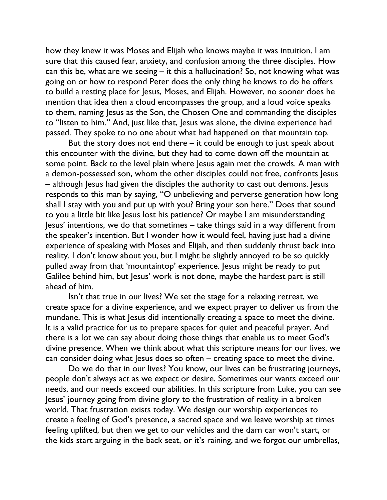how they knew it was Moses and Elijah who knows maybe it was intuition. I am sure that this caused fear, anxiety, and confusion among the three disciples. How can this be, what are we seeing – it this a hallucination? So, not knowing what was going on or how to respond Peter does the only thing he knows to do he offers to build a resting place for Jesus, Moses, and Elijah. However, no sooner does he mention that idea then a cloud encompasses the group, and a loud voice speaks to them, naming Jesus as the Son, the Chosen One and commanding the disciples to "listen to him." And, just like that, Jesus was alone, the divine experience had passed. They spoke to no one about what had happened on that mountain top.

But the story does not end there – it could be enough to just speak about this encounter with the divine, but they had to come down off the mountain at some point. Back to the level plain where Jesus again met the crowds. A man with a demon-possessed son, whom the other disciples could not free, confronts Jesus – although Jesus had given the disciples the authority to cast out demons. Jesus responds to this man by saying, "O unbelieving and perverse generation how long shall I stay with you and put up with you? Bring your son here." Does that sound to you a little bit like Jesus lost his patience? Or maybe I am misunderstanding Jesus' intentions, we do that sometimes – take things said in a way different from the speaker's intention. But I wonder how it would feel, having just had a divine experience of speaking with Moses and Elijah, and then suddenly thrust back into reality. I don't know about you, but I might be slightly annoyed to be so quickly pulled away from that 'mountaintop' experience. Jesus might be ready to put Galilee behind him, but Jesus' work is not done, maybe the hardest part is still ahead of him.

Isn't that true in our lives? We set the stage for a relaxing retreat, we create space for a divine experience, and we expect prayer to deliver us from the mundane. This is what Jesus did intentionally creating a space to meet the divine. It is a valid practice for us to prepare spaces for quiet and peaceful prayer. And there is a lot we can say about doing those things that enable us to meet God's divine presence. When we think about what this scripture means for our lives, we can consider doing what Jesus does so often – creating space to meet the divine.

Do we do that in our lives? You know, our lives can be frustrating journeys, people don't always act as we expect or desire. Sometimes our wants exceed our needs, and our needs exceed our abilities. In this scripture from Luke, you can see Jesus' journey going from divine glory to the frustration of reality in a broken world. That frustration exists today. We design our worship experiences to create a feeling of God's presence, a sacred space and we leave worship at times feeling uplifted, but then we get to our vehicles and the darn car won't start, or the kids start arguing in the back seat, or it's raining, and we forgot our umbrellas,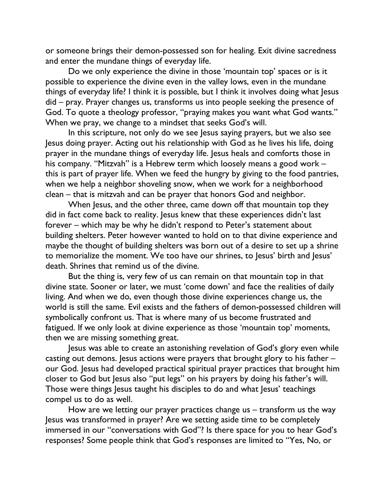or someone brings their demon-possessed son for healing. Exit divine sacredness and enter the mundane things of everyday life.

Do we only experience the divine in those 'mountain top' spaces or is it possible to experience the divine even in the valley lows, even in the mundane things of everyday life? I think it is possible, but I think it involves doing what Jesus did – pray. Prayer changes us, transforms us into people seeking the presence of God. To quote a theology professor, "praying makes you want what God wants." When we pray, we change to a mindset that seeks God's will.

In this scripture, not only do we see Jesus saying prayers, but we also see Jesus doing prayer. Acting out his relationship with God as he lives his life, doing prayer in the mundane things of everyday life. Jesus heals and comforts those in his company. "Mitzvah" is a Hebrew term which loosely means a good work – this is part of prayer life. When we feed the hungry by giving to the food pantries, when we help a neighbor shoveling snow, when we work for a neighborhood clean – that is mitzvah and can be prayer that honors God and neighbor.

When Jesus, and the other three, came down off that mountain top they did in fact come back to reality. Jesus knew that these experiences didn't last forever – which may be why he didn't respond to Peter's statement about building shelters. Peter however wanted to hold on to that divine experience and maybe the thought of building shelters was born out of a desire to set up a shrine to memorialize the moment. We too have our shrines, to Jesus' birth and Jesus' death. Shrines that remind us of the divine.

But the thing is, very few of us can remain on that mountain top in that divine state. Sooner or later, we must 'come down' and face the realities of daily living. And when we do, even though those divine experiences change us, the world is still the same. Evil exists and the fathers of demon-possessed children will symbolically confront us. That is where many of us become frustrated and fatigued. If we only look at divine experience as those 'mountain top' moments, then we are missing something great.

Jesus was able to create an astonishing revelation of God's glory even while casting out demons. Jesus actions were prayers that brought glory to his father – our God. Jesus had developed practical spiritual prayer practices that brought him closer to God but Jesus also "put legs" on his prayers by doing his father's will. Those were things Jesus taught his disciples to do and what Jesus' teachings compel us to do as well.

How are we letting our prayer practices change us – transform us the way Jesus was transformed in prayer? Are we setting aside time to be completely immersed in our "conversations with God"? Is there space for you to hear God's responses? Some people think that God's responses are limited to "Yes, No, or